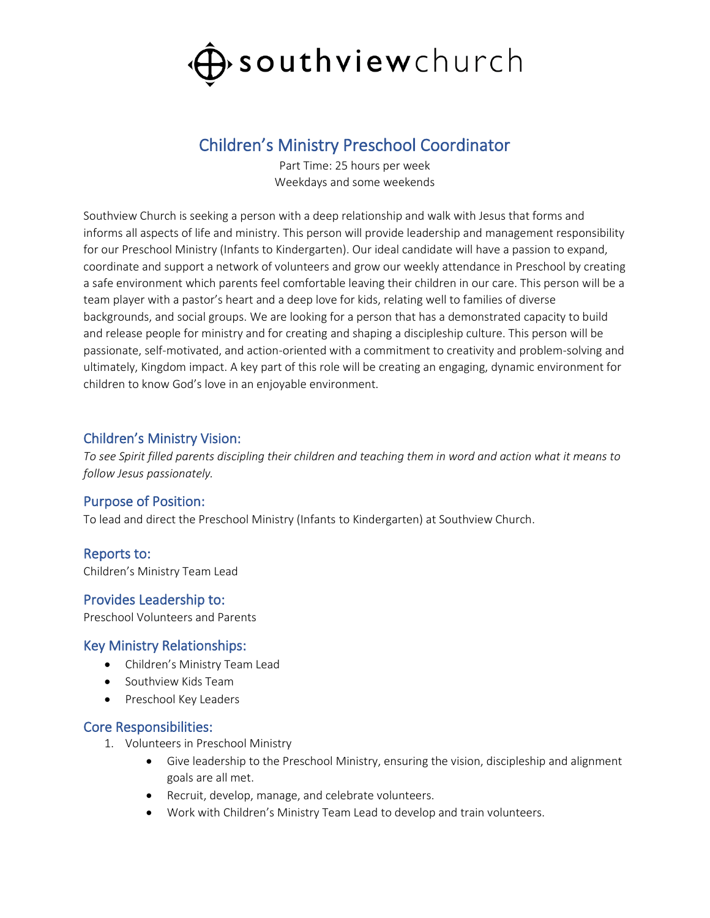

# Children's Ministry Preschool Coordinator

Part Time: 25 hours per week Weekdays and some weekends

Southview Church is seeking a person with a deep relationship and walk with Jesus that forms and informs all aspects of life and ministry. This person will provide leadership and management responsibility for our Preschool Ministry (Infants to Kindergarten). Our ideal candidate will have a passion to expand, coordinate and support a network of volunteers and grow our weekly attendance in Preschool by creating a safe environment which parents feel comfortable leaving their children in our care. This person will be a team player with a pastor's heart and a deep love for kids, relating well to families of diverse backgrounds, and social groups. We are looking for a person that has a demonstrated capacity to build and release people for ministry and for creating and shaping a discipleship culture. This person will be passionate, self-motivated, and action-oriented with a commitment to creativity and problem-solving and ultimately, Kingdom impact. A key part of this role will be creating an engaging, dynamic environment for children to know God's love in an enjoyable environment.

## Children's Ministry Vision:

*To see Spirit filled parents discipling their children and teaching them in word and action what it means to follow Jesus passionately.*

### Purpose of Position:

To lead and direct the Preschool Ministry (Infants to Kindergarten) at Southview Church.

### Reports to:

Children's Ministry Team Lead

### Provides Leadership to:

Preschool Volunteers and Parents

### Key Ministry Relationships:

- Children's Ministry Team Lead
- Southview Kids Team
- Preschool Key Leaders

#### Core Responsibilities:

- 1. Volunteers in Preschool Ministry
	- Give leadership to the Preschool Ministry, ensuring the vision, discipleship and alignment goals are all met.
	- Recruit, develop, manage, and celebrate volunteers.
	- Work with Children's Ministry Team Lead to develop and train volunteers.